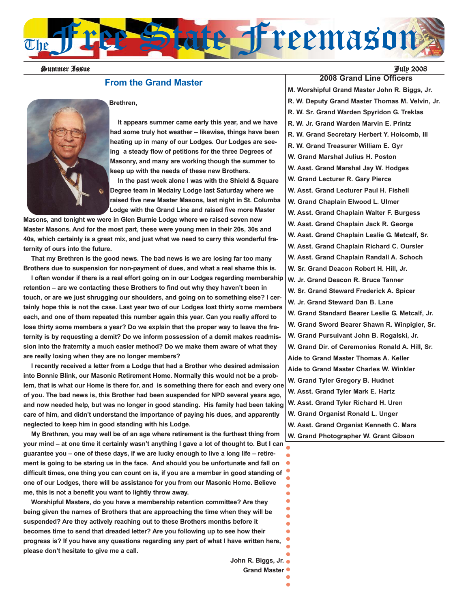

Summer Issue July 2008

### **From the Grand Master**



#### **Brethren,**

**It appears summer came early this year, and we have had some truly hot weather – likewise, things have been heating up in many of our Lodges. Our Lodges are seeing a steady flow of petitions for the three Degrees of Masonry, and many are working though the summer to keep up with the needs of these new Brothers.**

**In the past week alone I was with the Shield & Square Degree team in Medairy Lodge last Saturday where we raised five new Master Masons, last night in St. Columba Lodge with the Grand Line and raised five more Master**

**Masons, and tonight we were in Glen Burnie Lodge where we raised seven new Master Masons. And for the most part, these were young men in their 20s, 30s and 40s, which certainly is a great mix, and just what we need to carry this wonderful fraternity of ours into the future.**

**That my Brethren is the good news. The bad news is we are losing far too many Brothers due to suspension for non-payment of dues, and what a real shame this is.** 

**I often wonder if there is a real effort going on in our Lodges regarding membership retention – are we contacting these Brothers to find out why they haven't been in touch, or are we just shrugging our shoulders, and going on to something else? I certainly hope this is not the case. Last year two of our Lodges lost thirty some members each, and one of them repeated this number again this year. Can you really afford to lose thirty some members a year? Do we explain that the proper way to leave the fraternity is by requesting a demit? Do we inform possession of a demit makes readmission into the fraternity a much easier method? Do we make them aware of what they are really losing when they are no longer members?**

**I recently received a letter from a Lodge that had a Brother who desired admission into Bonnie Blink, our Masonic Retirement Home. Normally this would not be a problem, that is what our Home is there for, and is something there for each and every one of you. The bad news is, this Brother had been suspended for NPD several years ago, and now needed help, but was no longer in good standing. His family had been taking care of him, and didn't understand the importance of paying his dues, and apparently neglected to keep him in good standing with his Lodge.** 

**My Brethren, you may well be of an age where retirement is the furthest thing from your mind – at one time it certainly wasn't anything I gave a lot of thought to. But I can guarantee you – one of these days, if we are lucky enough to live a long life – retirement is going to be staring us in the face. And should you be unfortunate and fall on difficult times, one thing you can count on is, if you are a member in good standing of one of our Lodges, there will be assistance for you from our Masonic Home. Believe me, this is not a benefit you want to lightly throw away.** 

**Worshipful Masters, do you have a membership retention committee? Are they being given the names of Brothers that are approaching the time when they will be suspended? Are they actively reaching out to these Brothers months before it becomes time to send that dreaded letter? Are you following up to see how their progress is? If you have any questions regarding any part of what I have written here, please don't hesitate to give me a call.** 

> **John R. Biggs, Jr. Grand Master**

 $\bullet$ 

 $\bullet$  $\bullet$  $\bullet$  $\bullet$ 

**2008 Grand Line Officers M. Worshipful Grand Master John R. Biggs, Jr. R. W. Deputy Grand Master Thomas M. Velvin, Jr. R. W. Sr. Grand Warden Spyridon G. Treklas R. W. Jr. Grand Warden Marvin E. Printz R. W. Grand Secretary Herbert Y. Holcomb, III R. W. Grand Treasurer William E. Gyr W. Grand Marshal Julius H. Poston W. Asst. Grand Marshal Jay W. Hodges W. Grand Lecturer R. Gary Pierce W. Asst. Grand Lecturer Paul H. Fishell W. Grand Chaplain Elwood L. Ulmer W. Asst. Grand Chaplain Walter F. Burgess W. Asst. Grand Chaplain Jack R. George W. Asst. Grand Chaplain Leslie G. Metcalf, Sr. W. Asst. Grand Chaplain Richard C. Oursler W. Asst. Grand Chaplain Randall A. Schoch W. Sr. Grand Deacon Robert H. Hill, Jr. W. Jr. Grand Deacon R. Bruce Tanner W. Sr. Grand Steward Frederick A. Spicer W. Jr. Grand Steward Dan B. Lane W. Grand Standard Bearer Leslie G. Metcalf, Jr. W. Grand Sword Bearer Shawn R. Winpigler, Sr. W. Grand Pursuivant John B. Rogalski, Jr. W. Grand Dir. of Ceremonies Ronald A. Hill, Sr. Aide to Grand Master Thomas A. Keller Aide to Grand Master Charles W. Winkler W. Grand Tyler Gregory B. Hudnet W. Asst. Grand Tyler Mark E. Hartz W. Asst. Grand Tyler Richard H. Uren W. Grand Organist Ronald L. Unger W. Asst. Grand Organist Kenneth C. Mars W. Grand Photographer W. Grant Gibson**  $\bullet$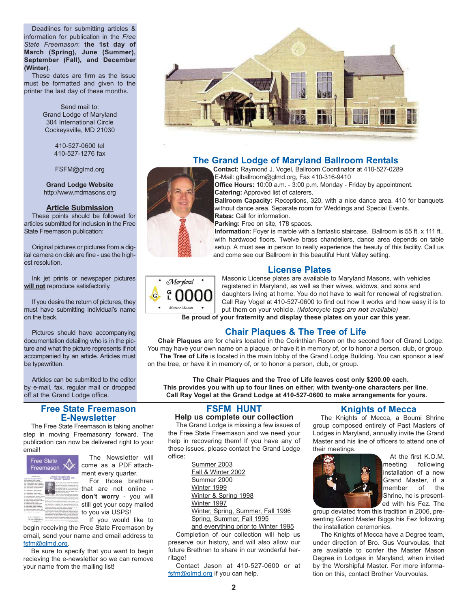Deadlines for submitting articles & information for publication in the *Free State Freemason*: **the 1st day of March (Spring), June (Summer), September (Fall), and December (Winter)**.

These dates are firm as the issue must be formatted and given to the printer the last day of these months.

> Send mail to: Grand Lodge of Maryland 304 International Circle Cockeysville, MD 21030

> > 410-527-0600 tel 410-527-1276 fax

FSFM@glmd.org

**Grand Lodge Website** http://www.mdmasons.org

#### **Article Submission**

These points should be followed for articles submitted for inclusion in the Free State Freemason publication:

Original pictures or pictures from a digital camera on disk are fine - use the highest resolution.

Ink jet prints or newspaper pictures **will not** reproduce satisfactorily.

If you desire the return of pictures, they must have submitting individual's name on the back.

Pictures should have accompanying documentation detailing who is in the picture and what the picture represents if not accompanied by an article. Articles must be typewritten.

Articles can be submitted to the editor by e-mail, fax, regular mail or dropped off at the Grand Lodge office.

### **Free State Freemason E-Newsletter**

The Free State Freemason is taking another step in moving Freemasonry forward. The publication can now be delivered right to your email!



The Newsletter will come as a PDF attachment every quarter.

For those brethren that are not online **don't worry** - you will still get your copy mailed to you via USPS! If you would like to

begin receiving the Free State Freemason by email, send your name and email address to fsfm@glmd.org.

Be sure to specify that you want to begin recieving the e-newsletter so we can remove your name from the mailing list!



# **The Grand Lodge of Maryland Ballroom Rentals**

**Contact:** Raymond J. Vogel, Ballroom Coordinator at 410-527-0289 E-Mail: glballroom@glmd.org, Fax 410-316-9410

**Office Hours:** 10:00 a.m. - 3:00 p.m. Monday - Friday by appointment. **Catering:** Approved list of caterers.

**Ballroom Capacity:** Receptions, 320, with a nice dance area. 410 for banquets without dance area. Separate room for Weddings and Special Events. **Rates:** Call for information.

**Parking:** Free on site, 178 spaces.

**Information:** Foyer is marble with a fantastic staircase. Ballroom is 55 ft. x 111 ft., with hardwood floors. Twelve brass chandeliers, dance area depends on table setup. A must see in person to really experience the beauty of this facility. Call us and come see our Ballroom in this beautiful Hunt Valley setting.

### **License Plates**



Masonic License plates are available to Maryland Masons, with vehicles registered in Maryland, as well as their wives, widows, and sons and daughters living at home. You do not have to wait for renewal of registration. Call Ray Vogel at 410-527-0600 to find out how it works and how easy it is to put them on your vehicle. *(Motorcycle tags are not available)*

**Be proud of your fraternity and display these plates on your car this year.**

# **Chair Plaques & The Tree of Life**

**Chair Plaques** are for chairs located in the Corinthian Room on the second floor of Grand Lodge. You may have your own name on a plaque, or have it in memory of, or to honor a person, club, or group. The Tree of Life is located in the main lobby of the Grand Lodge Building. You can sponsor a leaf on the tree, or have it in memory of, or to honor a person, club, or group.

**The Chair Plaques and the Tree of Life leaves cost only \$200.00 each. This provides you with up to four lines on either, with twenty-one characters per line. Call Ray Vogel at the Grand Lodge at 410-527-0600 to make arrangements for yours.**

# **FSFM HUNT**

#### **Help us complete our collection**

The Grand Lodge is missing a few issues of the Free State Freemason and we need your help in recovering them! If you have any of these issues, please contact the Grand Lodge office:

> Summer 2003 Fall & Winter 2002 Summer 2000 Winter 1999 Winter & Spring 1998 Winter 1997 Winter, Spring, Summer, Fall 1996 Spring, Summer, Fall 1995

and everything prior to Winter 1995

Completion of our collection will help us preserve our history, and will also allow our future Brethren to share in our wonderful herritage!

Contact Jason at 410-527-0600 or at fsfm@glmd.org if you can help.

# **Knights of Mecca**

The Knights of Mecca, a Boumi Shrine group composed entirely of Past Masters of Lodges in Maryland, annually invite the Grand Master and his line of officers to attend one of their meetings.



At the first K.O.M. meeting following installation of a new Grand Master, if a<br>member of the member of the Shrine, he is presented with his Fez. The

group deviated from this tradition in 2006, presenting Grand Master Biggs his Fez following the installation ceremonies.

The Knights of Mecca have a Degree team, under direction of Bro. Gus Vourvoulas, that are available to confer the Master Mason Degree in Lodges in Maryland, when invited by the Worshipful Master. For more information on this, contact Brother Vourvoulas.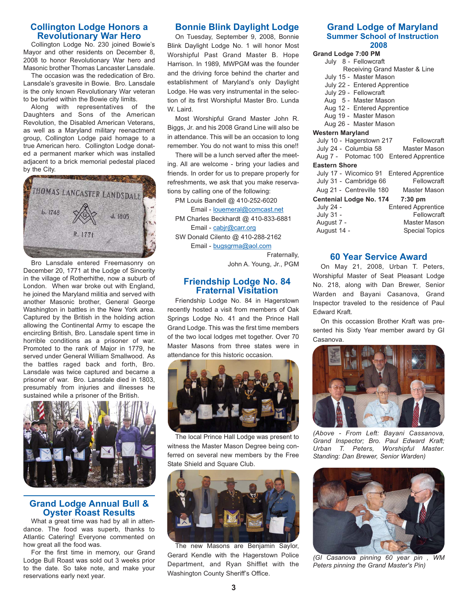### **Collington Lodge Honors a Revolutionary War Hero**

Collington Lodge No. 230 joined Bowie's Mayor and other residents on December 8, 2008 to honor Revolutionary War hero and Masonic brother Thomas Lancaster Lansdale.

The occasion was the rededication of Bro. Lansdale's gravesite in Bowie. Bro. Lansdale is the only known Revolutionary War veteran to be buried within the Bowie city limits.

Along with representatives of the Daughters and Sons of the American Revolution, the Disabled American Veterans, as well as a Maryland military reenactment group, Collington Lodge paid homage to a true American hero. Collington Lodge donated a permanent marker which was installed adjacent to a brick memorial pedestal placed by the City.



Bro Lansdale entered Freemasonry on December 20, 1771 at the Lodge of Sincerity in the village of Rotherhithe, now a suburb of London. When war broke out with England, he joined the Maryland militia and served with another Masonic brother, General George Washington in battles in the New York area. Captured by the British in the holding action allowing the Continental Army to escape the encircling British, Bro. Lansdale spent time in horrible conditions as a prisoner of war. Promoted to the rank of Major in 1779, he served under General William Smallwood. As the battles raged back and forth, Bro. Lansdale was twice captured and became a prisoner of war. Bro. Lansdale died in 1803, presumably from injuries and illnesses he sustained while a prisoner of the British.



# **Grand Lodge Annual Bull & Oyster Roast Results**

What a great time was had by all in attendance. The food was superb, thanks to Atlantic Catering! Everyone commented on how great all the food was.

For the first time in memory, our Grand Lodge Bull Roast was sold out 3 weeks prior to the date. So take note, and make your reservations early next year.

# **Bonnie Blink Daylight Lodge**

On Tuesday, September 9, 2008, Bonnie Blink Daylight Lodge No. 1 will honor Most Worshipful Past Grand Master B. Hope Harrison. In 1989, MWPGM was the founder and the driving force behind the charter and establishment of Maryland's only Daylight Lodge. He was very instrumental in the selection of its first Worshipful Master Bro. Lunda W. Laird.

Most Worshipful Grand Master John R. Biggs, Jr. and his 2008 Grand Line will also be in attendance. This will be an occasion to long remember. You do not want to miss this one!!

There will be a lunch served after the meeting. All are welcome - bring your ladies and friends. In order for us to prepare properly for refreshments, we ask that you make reservations by calling one of the following:

PM Louis Bandell @ 410-252-6020

Email - louemeral@comcast.net

PM Charles Beckhardt @ 410-833-6881 Email - cabjr@carr.org

SW Donald Cilento @ 410-288-2162

Email - bugsgrma@aol.com

Fraternally, John A. Young, Jr., PGM

### **Friendship Lodge No. 84 Fraternal Visitation**

Friendship Lodge No. 84 in Hagerstown recently hosted a visit from members of Oak Springs Lodge No. 41 and the Prince Hall Grand Lodge. This was the first time members of the two local lodges met together. Over 70 Master Masons from three states were in attendance for this historic occasion.



The local Prince Hall Lodge was present to witness the Master Mason Degree being conferred on several new members by the Free State Shield and Square Club.



The new Masons are Benjamin Saylor, Gerard Kendle with the Hagerstown Police Department, and Ryan Shifflet with the Washington County Sheriff's Office.

#### **Grand Lodge of Maryland Summer School of Instruction 2008**

#### **Grand Lodge 7:00 PM** July 8 - Fellowcraft Receiving Grand Master & Line July 15 - Master Mason July 22 - Entered Apprentice July 29 - Fellowcraft Aug 5 - Master Mason Aug 12 - Entered Apprentice Aug 19 - Master Mason Aug 26 - Master Mason **Western Maryland** July 10 - Hagerstown 217 Fellowcraft July 24 - Columbia 58 Master Mason Aug 7 - Potomac 100 Entered Apprentice **Eastern Shore** July 17 - Wicomico 91 Entered Apprentice July 31 - Cambridge 66 Fellowcraft Aug 21 - Centreville 180 Master Mason **Centenial Lodge No. 174 7:30 pm** July 24 - Entered Apprentice July 31 - Fellowcraft August 7 - **Master Mason**

#### **60 Year Service Award**

August 14 - Special Topics

On May 21, 2008, Urban T. Peters, Worshipful Master of Seat Pleasant Lodge No. 218, along with Dan Brewer, Senior Warden and Bayani Casanova, Grand Inspector traveled to the residence of Paul Edward Kraft.

On this occassion Brother Kraft was presented his Sixty Year member award by GI Casanova.



*(Above - From Left: Bayani Cassanova, Grand Inspector; Bro. Paul Edward Kraft; Urban T. Peters, Worshipful Master. Standing: Dan Brewer, Senior Warden)*



*(GI Casanova pinning 60 year pin , WM Peters pinning the Grand Master's Pin)*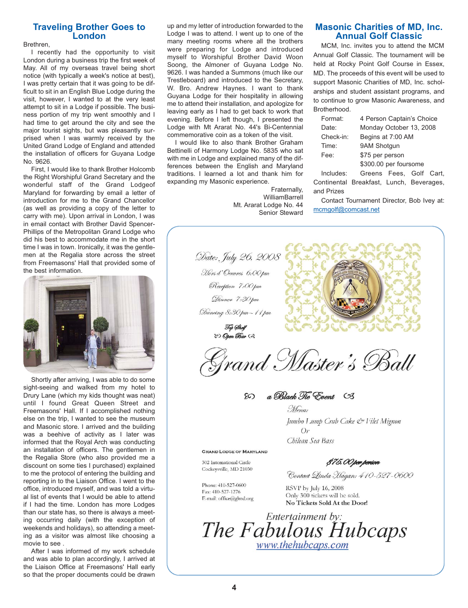### **Traveling Brother Goes to London**

Brethren,

I recently had the opportunity to visit London during a business trip the first week of May. All of my overseas travel being short notice (with typically a week's notice at best), I was pretty certain that it was going to be difficult to sit in an English Blue Lodge during the visit, however, I wanted to at the very least attempt to sit in a Lodge if possible. The business portion of my trip went smoothly and I had time to get around the city and see the major tourist sights, but was pleasantly surprised when I was warmly received by the United Grand Lodge of England and attended the installation of officers for Guyana Lodge No. 9626.

First, I would like to thank Brother Holcomb the Right Worshipful Grand Secretary and the wonderful staff of the Grand Lodgeof Maryland for forwarding by email a letter of introduction for me to the Grand Chancellor (as well as providing a copy of the letter to carry with me). Upon arrival in London, I was in email contact with Brother David Spencer-Phillips of the Metropolitan Grand Lodge who did his best to accommodate me in the short time I was in town. Ironically, it was the gentlemen at the Regalia store across the street from Freemasons' Hall that provided some of the best information.



Shortly after arriving, I was able to do some sight-seeing and walked from my hotel to Drury Lane (which my kids thought was neat) until I found Great Queen Street and Freemasons' Hall. If I accomplished nothing else on the trip, I wanted to see the museum and Masonic store. I arrived and the building was a beehive of activity as I later was informed that the Royal Arch was conducting an installation of officers. The gentlemen in the Regalia Store (who also provided me a discount on some ties I purchased) explained to me the protocol of entering the building and reporting in to the Liaison Office. I went to the office, introduced myself, and was told a virtual list of events that I would be able to attend if I had the time. London has more Lodges than our state has, so there is always a meeting occurring daily (with the exception of weekends and holidays), so attending a meeting as a visitor was almost like choosing a movie to see .

After I was informed of my work schedule and was able to plan accordingly, I arrived at the Liaison Office at Freemasons' Hall early so that the proper documents could be drawn up and my letter of introduction forwarded to the Lodge I was to attend. I went up to one of the many meeting rooms where all the brothers were preparing for Lodge and introduced myself to Worshipful Brother David Woon Soong, the Almoner of Guyana Lodge No. 9626. I was handed a Summons (much like our Trestleboard) and introduced to the Secretary, W. Bro. Andrew Haynes. I want to thank Guyana Lodge for their hospitality in allowing me to attend their installation, and apologize for leaving early as I had to get back to work that evening. Before I left though, I presented the Lodge with Mt Ararat No. 44's Bi-Centennial commemorative coin as a token of the visit.

I would like to also thank Brother Graham Bettinelli of Harmony Lodge No. 5835 who sat with me in Lodge and explained many of the differences between the English and Maryland traditions. I learned a lot and thank him for expanding my Masonic experience.

> Fraternally, WilliamBarrell Mt. Ararat Lodge No. 44 Senior Steward

#### **Masonic Charities of MD, Inc. Annual Golf Classic**

MCM, Inc. invites you to attend the MCM Annual Golf Classic. The tournament will be held at Rocky Point Golf Course in Essex, MD. The proceeds of this event will be used to support Masonic Charities of MD, Inc. scholarships and student assistant programs, and to continue to grow Masonic Awareness, and **Brotherhood** 

| Format:   | 4 Person Captain's Choice |
|-----------|---------------------------|
| Date:     | Monday October 13, 2008   |
| Check-in: | Begins at 7:00 AM         |
| Time:     | 9AM Shotgun               |
| Fee:      | \$75 per person           |
|           | \$300.00 per foursome     |
| Includes: | Greens Fees, Golf Cart,   |

Continental Breakfast, Lunch, Beverages, and Prizes

Contact Tournament Director, Bob Ivey at: mcmgolf@comcast.net



Chilean Sea Bass

**GRAND LODGE OF MARYLAND** 

302 International Circle Cockeysville, MD 21030

E-mail: office@glmd.org

Phone: 410-527-0600 Fax: 410-527-1276

Contact Linda Hagan: 410-527-0600

\$75.00 per person

RSVP by July 16, 2008 Only 300 tickets will be sold. No Tickets Sold At the Door!

*Entertainment by:*<br>The Fabulous Hubcaps www.thehubcaps.com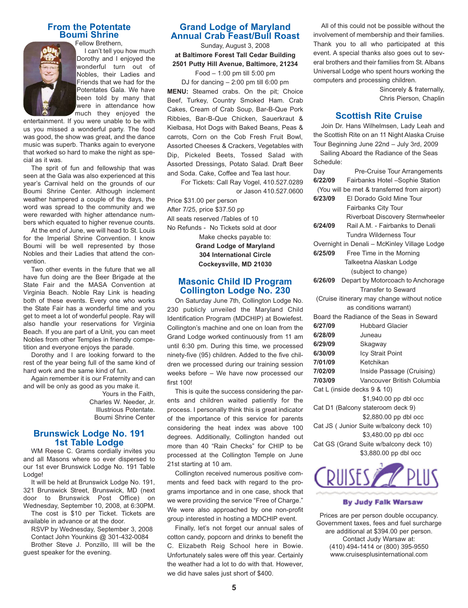# **From the Potentate Boumi Shrine**



Fellow Brethern, I can't tell you how much Dorothy and I enjoyed the wonderful turn out of Nobles, their Ladies and Friends that we had for the Potentates Gala. We have been told by many that were in attendance how much they enjoyed the

entertainment. If you were unable to be with us you missed a wonderful party. The food was good, the show was great, and the dance music was superb. Thanks again to everyone that worked so hard to make the night as special as it was.

The sprit of fun and fellowship that was seen at the Gala was also experienced at this year's Carnival held on the grounds of our Boumi Shrine Center. Although inclement weather hampered a couple of the days, the word was spread to the community and we were rewarded with higher attendance numbers which equated to higher revenue counts.

At the end of June, we will head to St. Louis for the Imperial Shrine Convention. I know Boumi will be well represented by those Nobles and their Ladies that attend the convention.

Two other events in the future that we all have fun doing are the Beer Brigade at the State Fair and the MASA Convention at Virginia Beach. Noble Ray Link is heading both of these events. Every one who works the State Fair has a wonderful time and you get to meet a lot of wonderful people. Ray will also handle your reservations for Virginia Beach. If you are part of a Unit, you can meet Nobles from other Temples in friendly competition and everyone enjoys the parade.

Dorothy and I are looking forward to the rest of the year being full of the same kind of hard work and the same kind of fun.

Again remember it is our Fraternity and can and will be only as good as you make it.

> Yours in the Faith, Charles W. Needer, Jr. Illustrious Potentate. Boumi Shrine Center

### **Brunswick Lodge No. 191 1st Table Lodge**

WM Reese C. Grams cordially invites you and all Masons where so ever dispersed to our 1st ever Brunswick Lodge No. 191 Table Lodge!

It will be held at Brunswick Lodge No. 191, 321 Brunswick Street, Brunswick, MD (next door to Brunswick Post Office) on Wednesday, September 10, 2008, at 6:30PM.

The cost is \$10 per Ticket. Tickets are available in advance or at the door.

RSVP by Wednesday, September 3, 2008 Contact John Younkins @ 301-432-0084 Brother Steve J. Ponzillo, III will be the

guest speaker for the evening.

# **Grand Lodge of Maryland Annual Crab Feast/Bull Roast**

Sunday, August 3, 2008 **at Baltimore Forest Tall Cedar Building 2501 Putty Hill Avenue, Baltimore, 21234**

Food – 1:00 pm till 5:00 pm

DJ for dancing – 2:00 pm till 6:00 pm **MENU:** Steamed crabs. On the pit; Choice Beef, Turkey, Country Smoked Ham. Crab Cakes, Cream of Crab Soup, Bar-B-Que Pork Ribbies, Bar-B-Que Chicken, Sauerkraut & Kielbasa, Hot Dogs with Baked Beans, Peas & carrots, Corn on the Cob Fresh Fruit Bowl, Assorted Cheeses & Crackers, Vegetables with Dip, Pickeled Beets, Tossed Salad with Assorted Dressings, Potato Salad. Draft Beer and Soda. Cake, Coffee and Tea last hour.

For Tickets: Call Ray Vogel, 410.527.0289 or Jason 410.527.0600

Price \$31.00 per person After 7/25, price \$37.50 pp All seats reserved /Tables of 10 No Refunds - No Tickets sold at door Make checks payable to: **Grand Lodge of Maryland 304 International Circle Cockeysville, MD 21030**

# **Masonic Child ID Program Collington Lodge No. 230**

On Saturday June 7th, Collington Lodge No. 230 publicly unveiled the Maryland Child Identification Program (MDCHIP) at Bowiefest. Collington's machine and one on loan from the Grand Lodge worked continuously from 11 am until 6:30 pm. During this time, we processed ninety-five (95) children. Added to the five children we processed during our training session weeks before – We have now processed our first 100!

This is quite the success considering the parents and children waited patiently for the process. I personally think this is great indicator of the importance of this service for parents considering the heat index was above 100 degrees. Additionally, Collington handed out more than 40 "Rain Checks" for CHIP to be processed at the Collington Temple on June 21st starting at 10 am.

Collington received numerous positive comments and feed back with regard to the programs importance and in one case, shock that we were providing the service "Free of Charge." We were also approached by one non-profit group interested in hosting a MDCHIP event.

Finally, let's not forget our annual sales of cotton candy, popcorn and drinks to benefit the C. Elizabeth Reig School here in Bowie. Unfortunately sales were off this year. Certainly the weather had a lot to do with that. However, we did have sales just short of \$400.

All of this could not be possible without the involvement of membership and their families. Thank you to all who participated at this event. A special thanks also goes out to several brothers and their families from St. Albans Universal Lodge who spent hours working the computers and processing children.

> Sincerely & fraternally, Chris Pierson, Chaplin

#### **Scottish Rite Cruise**

Join Dr. Hans Wilhelmsen, Lady Leah and the Scottish Rite on an 11 Night Alaska Cruise Tour Beginning June 22nd – July 3rd, 2009

|                                              | Sailing Aboard the Radiance of the Seas      |                                           |  |
|----------------------------------------------|----------------------------------------------|-------------------------------------------|--|
|                                              | Schedule:                                    |                                           |  |
|                                              | Day                                          | Pre-Cruise Tour Arrangements              |  |
|                                              |                                              | 6/22/09   Fairbanks Hotel -Sophie Station |  |
| (You will be met & transferred from airport) |                                              |                                           |  |
|                                              | 6/23/09                                      | El Dorado Gold Mine Tour                  |  |
|                                              |                                              | <b>Fairbanks City Tour</b>                |  |
|                                              |                                              | Riverboat Discovery Sternwheeler          |  |
|                                              | 6/24/09                                      | Rail A.M. - Fairbanks to Denali           |  |
|                                              |                                              | Tundra Wilderness Tour                    |  |
|                                              | Overnight in Denali - McKinley Village Lodge |                                           |  |
|                                              | 6/25/09                                      | Free Time in the Morning                  |  |
| Talkeetna Alaskan Lodge                      |                                              |                                           |  |
| (subject to change)                          |                                              |                                           |  |
|                                              | 6/26/09                                      | Depart by Motorcoach to Anchorage         |  |
|                                              |                                              | <b>Transfer to Seward</b>                 |  |
| (Cruise itinerary may change without notice  |                                              |                                           |  |
| as conditions warrant)                       |                                              |                                           |  |
|                                              |                                              | Board the Radiance of the Seas in Seward  |  |
|                                              | 6/27/09                                      | <b>Hubbard Glacier</b>                    |  |
|                                              | 6/28/09                                      | Juneau                                    |  |
|                                              | 6/29/09                                      | Skagway                                   |  |
|                                              | 6/30/09                                      | Icy Strait Point                          |  |
|                                              | 7/01/09                                      | Ketchikan                                 |  |
|                                              | 7/02/09                                      | Inside Passage (Cruising)                 |  |
|                                              | 7/03/09                                      | Vancouver British Columbia                |  |
| Cat L (inside decks 9 & 10)                  |                                              |                                           |  |
| \$1,940.00 pp dbl occ                        |                                              |                                           |  |
| Cat D1 (Balcony stateroom deck 9)            |                                              |                                           |  |
|                                              |                                              | \$2,880.00 pp dbl occ                     |  |
|                                              | Cat JS ( Junior Suite w/balcony deck 10)     |                                           |  |
|                                              |                                              | \$3,480.00 pp dbl occ                     |  |
|                                              |                                              | Cat GS (Grand Suite w/balcony deck 10)    |  |
|                                              |                                              | \$3,880.00 pp dbl occ                     |  |
|                                              |                                              |                                           |  |



#### **By Judy Falk Warsaw**

Prices are per person double occupancy. Government taxes, fees and fuel surcharge are additional at \$394.00 per person. Contact Judy Warsaw at: (410) 494-1414 or (800) 395-9550 www.cruisesplusinternational.com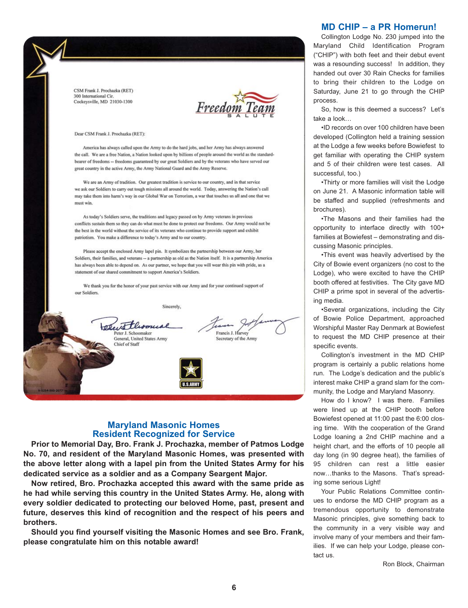

# **Maryland Masonic Homes Resident Recognized for Service**

**Prior to Memorial Day, Bro. Frank J. Prochazka, member of Patmos Lodge No. 70, and resident of the Maryland Masonic Homes, was presented with the above letter along with a lapel pin from the United States Army for his dedicated service as a soldier and as a Company Seargent Major.**

**Now retired, Bro. Prochazka accepted this award with the same pride as he had while serving this country in the United States Army. He, along with every soldier dedicated to protecting our beloved Home, past, present and future, deserves this kind of recognition and the respect of his peers and brothers.**

**Should you find yourself visiting the Masonic Homes and see Bro. Frank, please congratulate him on this notable award!**

#### **MD CHIP – a PR Homerun!**

Collington Lodge No. 230 jumped into the Maryland Child Identification Program ("CHIP") with both feet and their debut event was a resounding success! In addition, they handed out over 30 Rain Checks for families to bring their children to the Lodge on Saturday, June 21 to go through the CHIP

So, how is this deemed a success? Let's take a look…

•ID records on over 100 children have been developed (Collington held a training session at the Lodge a few weeks before Bowiefest to get familiar with operating the CHIP system and 5 of their children were test cases. All successful, too.)

•Thirty or more families will visit the Lodge on June 21. A Masonic information table will be staffed and supplied (refreshments and brochures).

•The Masons and their families had the opportunity to interface directly with 100+ families at Bowiefest – demonstrating and discussing Masonic principles.

•This event was heavily advertised by the City of Bowie event organizers (no cost to the Lodge), who were excited to have the CHIP booth offered at festivities. The City gave MD CHIP a prime spot in several of the advertising media.

•Several organizations, including the City of Bowie Police Department, approached Worshipful Master Ray Denmark at Bowiefest to request the MD CHIP presence at their specific events.

Collington's investment in the MD CHIP program is certainly a public relations home run. The Lodge's dedication and the public's interest make CHIP a grand slam for the community, the Lodge and Maryland Masonry.

How do I know? I was there. Families were lined up at the CHIP booth before Bowiefest opened at 11:00 past the 6:00 closing time. With the cooperation of the Grand Lodge loaning a 2nd CHIP machine and a height chart, and the efforts of 10 people all day long (in 90 degree heat), the families of 95 children can rest a little easier now…thanks to the Masons. That's spreading some serious Light!

Your Public Relations Committee continues to endorse the MD CHIP program as a tremendous opportunity to demonstrate Masonic principles, give something back to the community in a very visible way and involve many of your members and their families. If we can help your Lodge, please contact us.

Ron Block, Chairman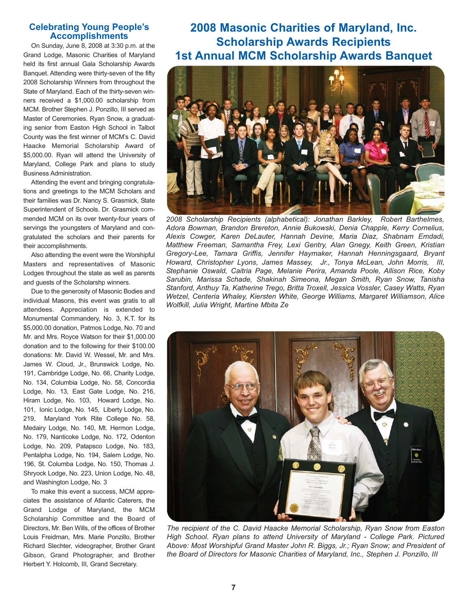### **Celebrating Young People's Accomplishments**

On Sunday, June 8, 2008 at 3:30 p.m. at the Grand Lodge, Masonic Charities of Maryland held its first annual Gala Scholarship Awards Banquet. Attending were thirty-seven of the fifty 2008 Scholarship Winners from throughout the State of Maryland. Each of the thirty-seven winners received a \$1,000.00 scholarship from MCM. Brother Stephen J. Ponzillo, III served as Master of Ceremonies. Ryan Snow, a graduating senior from Easton High School in Talbot County was the first winner of MCM's C. David Haacke Memorial Scholarship Award of \$5,000.00. Ryan will attend the University of Maryland, College Park and plans to study Business Administration.

Attending the event and bringing congratulations and greetings to the MCM Scholars and their families was Dr. Nancy S. Grasmick, State Superintendent of Schools. Dr. Grasmick commended MCM on its over twenty-four years of servings the youngsters of Maryland and congratulated the scholars and their parents for their accomplishments.

Also attending the event were the Worshipful Masters and representatives of Masonic Lodges throughout the state as well as parents and guests of the Scholarshp winners.

Due to the generosity of Masonic Bodies and individual Masons, this event was gratis to all attendees. Appreciation is extended to Monumental Commandery, No. 3, K.T. for its \$5,000.00 donation, Patmos Lodge, No. 70 and Mr. and Mrs. Royce Watson for their \$1,000.00 donation and to the following for their \$100.00 donations: Mr. David W. Wessel, Mr. and Mrs. James W. Cloud, Jr., Brunswick Lodge, No. 191, Cambridge Lodge, No. 66, Charity Lodge, No. 134, Columbia Lodge, No. 58, Concordia Lodge, No. 13, East Gate Lodge, No. 216, Hiram Lodge, No. 103, Howard Lodge, No. 101, Ionic Lodge, No. 145, Liberty Lodge, No. 219, Maryland York Rite College No. 58, Medairy Lodge, No. 140, Mt. Hermon Lodge, No. 179, Nanticoke Lodge, No. 172, Odenton Lodge, No. 209, Patapsco Lodge, No. 183, Pentalpha Lodge, No. 194, Salem Lodge, No. 196, St. Columba Lodge, No. 150, Thomas J. Shryock Lodge, No. 223, Union Lodge, No. 48, and Washington Lodge, No. 3

To make this event a success, MCM appreciates the assistance of Atlantic Caterers, the Grand Lodge of Maryland, the MCM Scholarship Committee and the Board of Directors, Mr. Ben Wills, of the offices of Brother Louis Freidman, Mrs. Marie Ponzillo, Brother Richard Slechter, videographer, Brother Grant Gibson, Grand Photographer, and Brother Herbert Y. Holcomb, III, Grand Secretary.

**2008 Masonic Charities of Maryland, Inc. Scholarship Awards Recipients 1st Annual MCM Scholarship Awards Banquet**



*2008 Scholarship Recipients (alphabetical): Jonathan Barkley, Robert Barthelmes, Adora Bowman, Brandon Brereton, Annie Bukowski, Denia Chapple, Kerry Cornelius, Alexis Cowger, Karen DeLauter, Hannah Devine, Maria Diaz, Shabnam Emdadi, Matthew Freeman, Samantha Frey, Lexi Gentry, Alan Gnegy, Keith Green, Kristian Gregory-Lee, Tamara Griffis, Jennifer Haymaker, Hannah Henningsgaard, Bryant Howard, Christopher Lyons, James Massey, Jr., Tonya McLean, John Morris, III, Stephanie Oswald, Caitria Page, Melanie Perira, Amanda Poole, Allison Rice, Koby Sarubin, Marissa Schade, Shakinah Simeona, Megan Smith, Ryan Snow, Tanisha Stanford, Anthuy Ta, Katherine Trego, Britta Troxell, Jessica Vossler, Casey Watts, Ryan Wetzel, Centeria Whaley, Kiersten White, George Williams, Margaret Williamson, Alice Wolfkill, Julia Wright, Martine Mbita Ze*



*The recipient of the C. David Haacke Memorial Scholarship, Ryan Snow from Easton High School. Ryan plans to attend University of Maryland - College Park. Pictured Above: Most Worshipful Grand Master John R. Biggs, Jr.; Ryan Snow; and President of the Board of Directors for Masonic Charities of Maryland, Inc., Stephen J. Ponzillo, III*